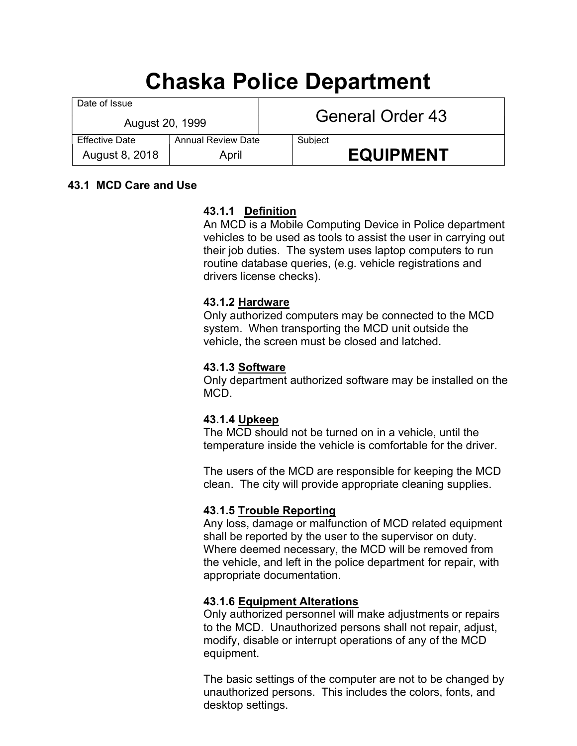# Chaska Police Department

| Date of Issue<br>August 20, 1999 |                    | General Order 43 |                  |
|----------------------------------|--------------------|------------------|------------------|
| <b>Effective Date</b>            | Annual Review Date |                  | Subject          |
| August 8, 2018                   | April              |                  | <b>EQUIPMENT</b> |

## 43.1 MCD Care and Use

# 43.1.1 Definition

An MCD is a Mobile Computing Device in Police department vehicles to be used as tools to assist the user in carrying out their job duties. The system uses laptop computers to run routine database queries, (e.g. vehicle registrations and drivers license checks).

## 43.1.2 Hardware

Only authorized computers may be connected to the MCD system. When transporting the MCD unit outside the vehicle, the screen must be closed and latched.

## 43.1.3 Software

Only department authorized software may be installed on the MCD.

## 43.1.4 Upkeep

The MCD should not be turned on in a vehicle, until the temperature inside the vehicle is comfortable for the driver.

The users of the MCD are responsible for keeping the MCD clean. The city will provide appropriate cleaning supplies.

# 43.1.5 Trouble Reporting

Any loss, damage or malfunction of MCD related equipment shall be reported by the user to the supervisor on duty. Where deemed necessary, the MCD will be removed from the vehicle, and left in the police department for repair, with appropriate documentation.

## 43.1.6 Equipment Alterations

Only authorized personnel will make adjustments or repairs to the MCD. Unauthorized persons shall not repair, adjust, modify, disable or interrupt operations of any of the MCD equipment.

The basic settings of the computer are not to be changed by unauthorized persons. This includes the colors, fonts, and desktop settings.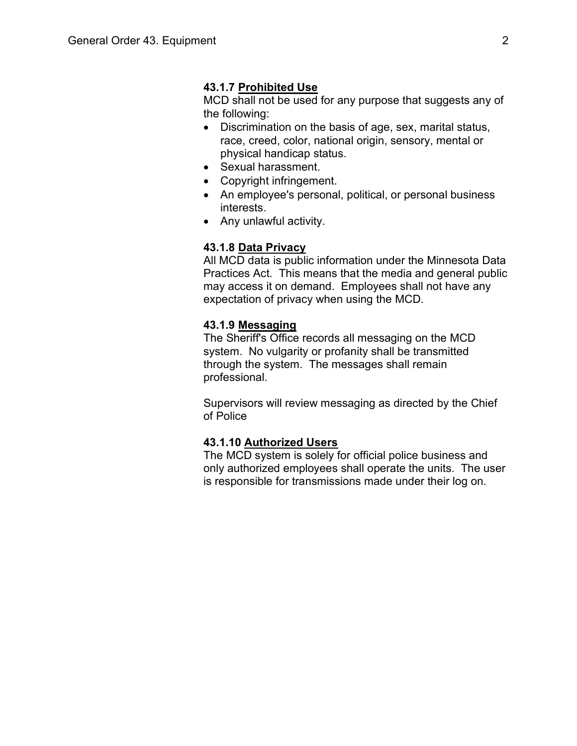#### 43.1.7 Prohibited Use

MCD shall not be used for any purpose that suggests any of the following:

- Discrimination on the basis of age, sex, marital status, race, creed, color, national origin, sensory, mental or physical handicap status.
- Sexual harassment.
- Copyright infringement.
- An employee's personal, political, or personal business interests.
- Any unlawful activity.

#### 43.1.8 Data Privacy

All MCD data is public information under the Minnesota Data Practices Act. This means that the media and general public may access it on demand. Employees shall not have any expectation of privacy when using the MCD.

#### 43.1.9 Messaging

The Sheriff's Office records all messaging on the MCD system. No vulgarity or profanity shall be transmitted through the system. The messages shall remain professional.

Supervisors will review messaging as directed by the Chief of Police

#### 43.1.10 Authorized Users

The MCD system is solely for official police business and only authorized employees shall operate the units. The user is responsible for transmissions made under their log on.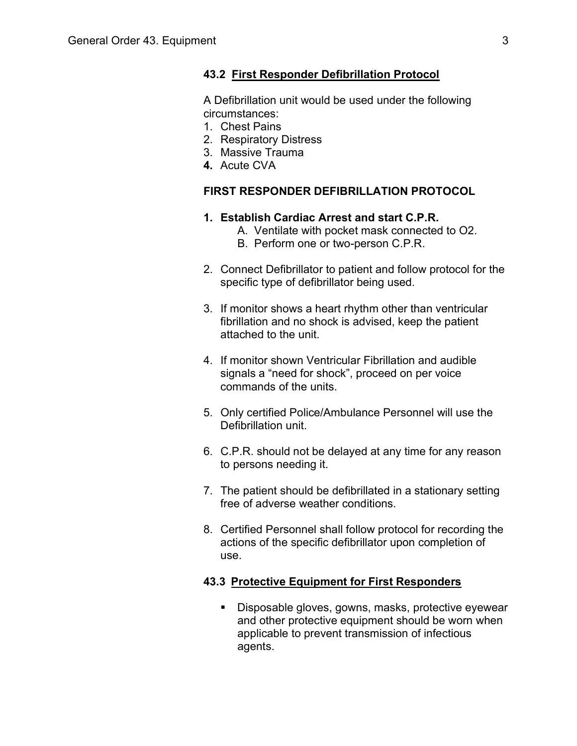#### 43.2 First Responder Defibrillation Protocol

A Defibrillation unit would be used under the following circumstances:

- 1. Chest Pains
- 2. Respiratory Distress
- 3. Massive Trauma
- 4. Acute CVA

#### FIRST RESPONDER DEFIBRILLATION PROTOCOL

#### 1. Establish Cardiac Arrest and start C.P.R.

- A. Ventilate with pocket mask connected to O2.
- B. Perform one or two-person C.P.R.
- 2. Connect Defibrillator to patient and follow protocol for the specific type of defibrillator being used.
- 3. If monitor shows a heart rhythm other than ventricular fibrillation and no shock is advised, keep the patient attached to the unit.
- 4. If monitor shown Ventricular Fibrillation and audible signals a "need for shock", proceed on per voice commands of the units.
- 5. Only certified Police/Ambulance Personnel will use the Defibrillation unit.
- 6. C.P.R. should not be delayed at any time for any reason to persons needing it.
- 7. The patient should be defibrillated in a stationary setting free of adverse weather conditions.
- 8. Certified Personnel shall follow protocol for recording the actions of the specific defibrillator upon completion of use.

## 43.3 Protective Equipment for First Responders

**Disposable gloves, gowns, masks, protective eyewear** and other protective equipment should be worn when applicable to prevent transmission of infectious agents.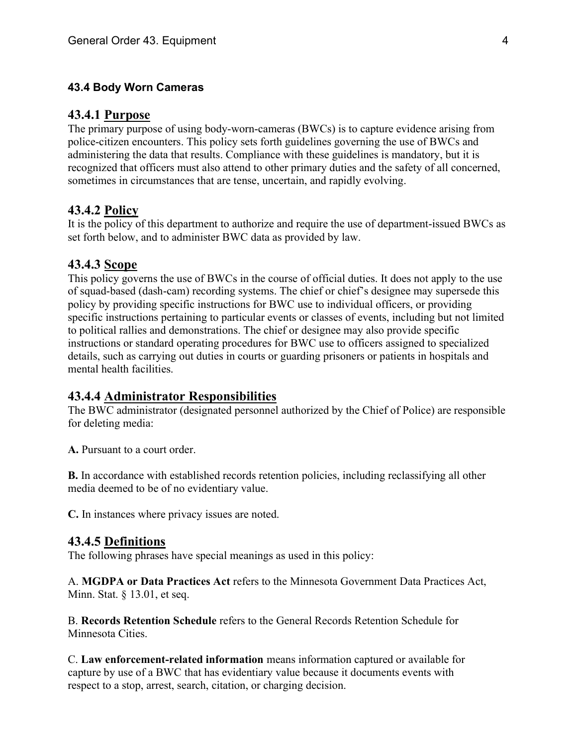#### 43.4 Body Worn Cameras

#### 43.4.1 Purpose

The primary purpose of using body-worn-cameras (BWCs) is to capture evidence arising from police-citizen encounters. This policy sets forth guidelines governing the use of BWCs and administering the data that results. Compliance with these guidelines is mandatory, but it is recognized that officers must also attend to other primary duties and the safety of all concerned, sometimes in circumstances that are tense, uncertain, and rapidly evolving.

#### 43.4.2 Policy

It is the policy of this department to authorize and require the use of department-issued BWCs as set forth below, and to administer BWC data as provided by law.

#### 43.4.3 Scope

This policy governs the use of BWCs in the course of official duties. It does not apply to the use of squad-based (dash-cam) recording systems. The chief or chief's designee may supersede this policy by providing specific instructions for BWC use to individual officers, or providing specific instructions pertaining to particular events or classes of events, including but not limited to political rallies and demonstrations. The chief or designee may also provide specific instructions or standard operating procedures for BWC use to officers assigned to specialized details, such as carrying out duties in courts or guarding prisoners or patients in hospitals and mental health facilities.

#### 43.4.4 Administrator Responsibilities

The BWC administrator (designated personnel authorized by the Chief of Police) are responsible for deleting media:

A. Pursuant to a court order.

B. In accordance with established records retention policies, including reclassifying all other media deemed to be of no evidentiary value.

C. In instances where privacy issues are noted.

#### 43.4.5 Definitions

The following phrases have special meanings as used in this policy:

A. MGDPA or Data Practices Act refers to the Minnesota Government Data Practices Act, Minn. Stat. § 13.01, et seq.

B. Records Retention Schedule refers to the General Records Retention Schedule for Minnesota Cities.

C. Law enforcement-related information means information captured or available for capture by use of a BWC that has evidentiary value because it documents events with respect to a stop, arrest, search, citation, or charging decision.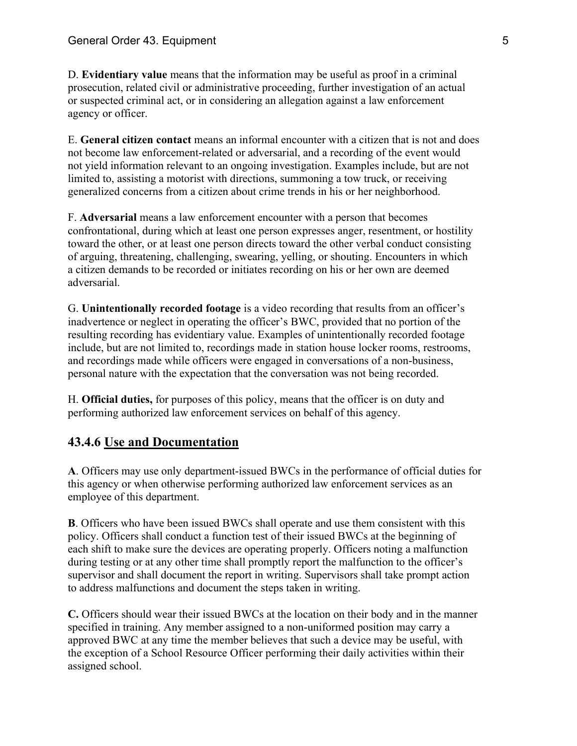D. Evidentiary value means that the information may be useful as proof in a criminal prosecution, related civil or administrative proceeding, further investigation of an actual or suspected criminal act, or in considering an allegation against a law enforcement agency or officer.

E. General citizen contact means an informal encounter with a citizen that is not and does not become law enforcement-related or adversarial, and a recording of the event would not yield information relevant to an ongoing investigation. Examples include, but are not limited to, assisting a motorist with directions, summoning a tow truck, or receiving generalized concerns from a citizen about crime trends in his or her neighborhood.

F. Adversarial means a law enforcement encounter with a person that becomes confrontational, during which at least one person expresses anger, resentment, or hostility toward the other, or at least one person directs toward the other verbal conduct consisting of arguing, threatening, challenging, swearing, yelling, or shouting. Encounters in which a citizen demands to be recorded or initiates recording on his or her own are deemed adversarial.

G. Unintentionally recorded footage is a video recording that results from an officer's inadvertence or neglect in operating the officer's BWC, provided that no portion of the resulting recording has evidentiary value. Examples of unintentionally recorded footage include, but are not limited to, recordings made in station house locker rooms, restrooms, and recordings made while officers were engaged in conversations of a non-business, personal nature with the expectation that the conversation was not being recorded.

H. Official duties, for purposes of this policy, means that the officer is on duty and performing authorized law enforcement services on behalf of this agency.

# 43.4.6 Use and Documentation

A. Officers may use only department-issued BWCs in the performance of official duties for this agency or when otherwise performing authorized law enforcement services as an employee of this department.

B. Officers who have been issued BWCs shall operate and use them consistent with this policy. Officers shall conduct a function test of their issued BWCs at the beginning of each shift to make sure the devices are operating properly. Officers noting a malfunction during testing or at any other time shall promptly report the malfunction to the officer's supervisor and shall document the report in writing. Supervisors shall take prompt action to address malfunctions and document the steps taken in writing.

C. Officers should wear their issued BWCs at the location on their body and in the manner specified in training. Any member assigned to a non-uniformed position may carry a approved BWC at any time the member believes that such a device may be useful, with the exception of a School Resource Officer performing their daily activities within their assigned school.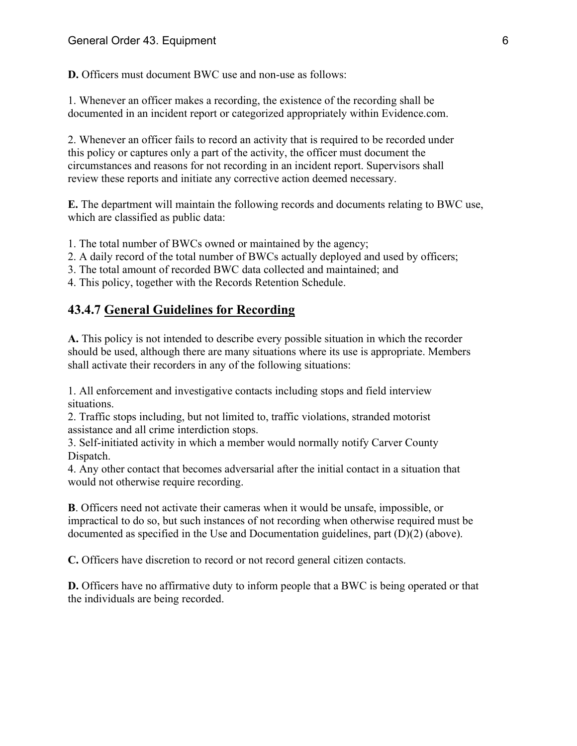D. Officers must document BWC use and non-use as follows:

1. Whenever an officer makes a recording, the existence of the recording shall be documented in an incident report or categorized appropriately within Evidence.com.

2. Whenever an officer fails to record an activity that is required to be recorded under this policy or captures only a part of the activity, the officer must document the circumstances and reasons for not recording in an incident report. Supervisors shall review these reports and initiate any corrective action deemed necessary.

E. The department will maintain the following records and documents relating to BWC use, which are classified as public data:

1. The total number of BWCs owned or maintained by the agency;

2. A daily record of the total number of BWCs actually deployed and used by officers;

3. The total amount of recorded BWC data collected and maintained; and

4. This policy, together with the Records Retention Schedule.

# 43.4.7 General Guidelines for Recording

A. This policy is not intended to describe every possible situation in which the recorder should be used, although there are many situations where its use is appropriate. Members shall activate their recorders in any of the following situations:

1. All enforcement and investigative contacts including stops and field interview situations.

2. Traffic stops including, but not limited to, traffic violations, stranded motorist assistance and all crime interdiction stops.

3. Self-initiated activity in which a member would normally notify Carver County Dispatch.

4. Any other contact that becomes adversarial after the initial contact in a situation that would not otherwise require recording.

B. Officers need not activate their cameras when it would be unsafe, impossible, or impractical to do so, but such instances of not recording when otherwise required must be documented as specified in the Use and Documentation guidelines, part (D)(2) (above).

C. Officers have discretion to record or not record general citizen contacts.

D. Officers have no affirmative duty to inform people that a BWC is being operated or that the individuals are being recorded.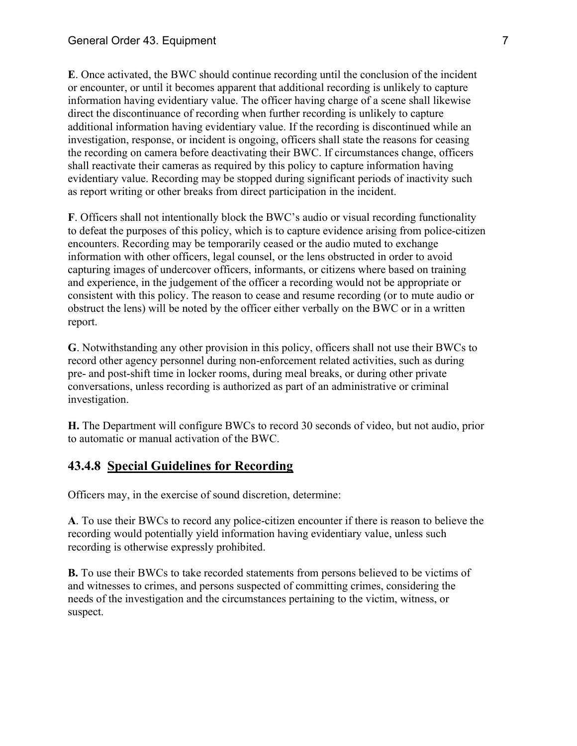E. Once activated, the BWC should continue recording until the conclusion of the incident or encounter, or until it becomes apparent that additional recording is unlikely to capture information having evidentiary value. The officer having charge of a scene shall likewise direct the discontinuance of recording when further recording is unlikely to capture additional information having evidentiary value. If the recording is discontinued while an investigation, response, or incident is ongoing, officers shall state the reasons for ceasing the recording on camera before deactivating their BWC. If circumstances change, officers shall reactivate their cameras as required by this policy to capture information having evidentiary value. Recording may be stopped during significant periods of inactivity such as report writing or other breaks from direct participation in the incident.

F. Officers shall not intentionally block the BWC's audio or visual recording functionality to defeat the purposes of this policy, which is to capture evidence arising from police-citizen encounters. Recording may be temporarily ceased or the audio muted to exchange information with other officers, legal counsel, or the lens obstructed in order to avoid capturing images of undercover officers, informants, or citizens where based on training and experience, in the judgement of the officer a recording would not be appropriate or consistent with this policy. The reason to cease and resume recording (or to mute audio or obstruct the lens) will be noted by the officer either verbally on the BWC or in a written report.

G. Notwithstanding any other provision in this policy, officers shall not use their BWCs to record other agency personnel during non-enforcement related activities, such as during pre- and post-shift time in locker rooms, during meal breaks, or during other private conversations, unless recording is authorized as part of an administrative or criminal investigation.

H. The Department will configure BWCs to record 30 seconds of video, but not audio, prior to automatic or manual activation of the BWC.

# 43.4.8 Special Guidelines for Recording

Officers may, in the exercise of sound discretion, determine:

A. To use their BWCs to record any police-citizen encounter if there is reason to believe the recording would potentially yield information having evidentiary value, unless such recording is otherwise expressly prohibited.

B. To use their BWCs to take recorded statements from persons believed to be victims of and witnesses to crimes, and persons suspected of committing crimes, considering the needs of the investigation and the circumstances pertaining to the victim, witness, or suspect.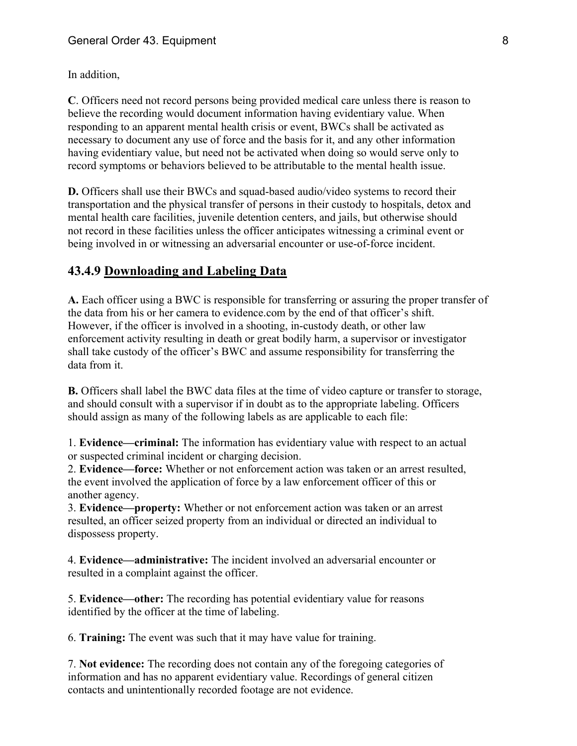In addition,

C. Officers need not record persons being provided medical care unless there is reason to believe the recording would document information having evidentiary value. When responding to an apparent mental health crisis or event, BWCs shall be activated as necessary to document any use of force and the basis for it, and any other information having evidentiary value, but need not be activated when doing so would serve only to record symptoms or behaviors believed to be attributable to the mental health issue.

D. Officers shall use their BWCs and squad-based audio/video systems to record their transportation and the physical transfer of persons in their custody to hospitals, detox and mental health care facilities, juvenile detention centers, and jails, but otherwise should not record in these facilities unless the officer anticipates witnessing a criminal event or being involved in or witnessing an adversarial encounter or use-of-force incident.

# 43.4.9 Downloading and Labeling Data

A. Each officer using a BWC is responsible for transferring or assuring the proper transfer of the data from his or her camera to evidence.com by the end of that officer's shift. However, if the officer is involved in a shooting, in-custody death, or other law enforcement activity resulting in death or great bodily harm, a supervisor or investigator shall take custody of the officer's BWC and assume responsibility for transferring the data from it.

B. Officers shall label the BWC data files at the time of video capture or transfer to storage, and should consult with a supervisor if in doubt as to the appropriate labeling. Officers should assign as many of the following labels as are applicable to each file:

1. Evidence—criminal: The information has evidentiary value with respect to an actual or suspected criminal incident or charging decision.

2. Evidence—force: Whether or not enforcement action was taken or an arrest resulted, the event involved the application of force by a law enforcement officer of this or another agency.

3. Evidence—property: Whether or not enforcement action was taken or an arrest resulted, an officer seized property from an individual or directed an individual to dispossess property.

4. Evidence—administrative: The incident involved an adversarial encounter or resulted in a complaint against the officer.

5. Evidence—other: The recording has potential evidentiary value for reasons identified by the officer at the time of labeling.

6. Training: The event was such that it may have value for training.

7. Not evidence: The recording does not contain any of the foregoing categories of information and has no apparent evidentiary value. Recordings of general citizen contacts and unintentionally recorded footage are not evidence.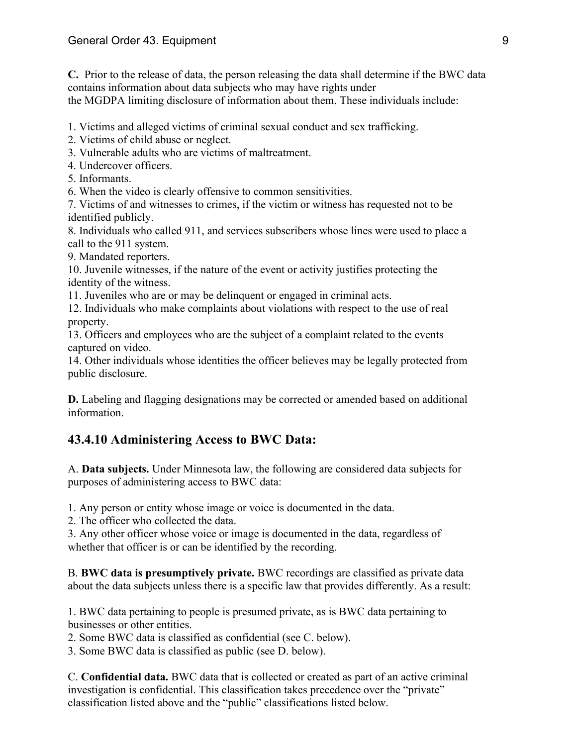C. Prior to the release of data, the person releasing the data shall determine if the BWC data contains information about data subjects who may have rights under the MGDPA limiting disclosure of information about them. These individuals include:

1. Victims and alleged victims of criminal sexual conduct and sex trafficking.

2. Victims of child abuse or neglect.

3. Vulnerable adults who are victims of maltreatment.

4. Undercover officers.

5. Informants.

6. When the video is clearly offensive to common sensitivities.

7. Victims of and witnesses to crimes, if the victim or witness has requested not to be identified publicly.

8. Individuals who called 911, and services subscribers whose lines were used to place a call to the 911 system.

9. Mandated reporters.

10. Juvenile witnesses, if the nature of the event or activity justifies protecting the identity of the witness.

11. Juveniles who are or may be delinquent or engaged in criminal acts.

12. Individuals who make complaints about violations with respect to the use of real property.

13. Officers and employees who are the subject of a complaint related to the events captured on video.

14. Other individuals whose identities the officer believes may be legally protected from public disclosure.

D. Labeling and flagging designations may be corrected or amended based on additional information.

# 43.4.10 Administering Access to BWC Data:

A. Data subjects. Under Minnesota law, the following are considered data subjects for purposes of administering access to BWC data:

1. Any person or entity whose image or voice is documented in the data.

2. The officer who collected the data.

3. Any other officer whose voice or image is documented in the data, regardless of whether that officer is or can be identified by the recording.

B. BWC data is presumptively private. BWC recordings are classified as private data about the data subjects unless there is a specific law that provides differently. As a result:

1. BWC data pertaining to people is presumed private, as is BWC data pertaining to businesses or other entities.

2. Some BWC data is classified as confidential (see C. below).

3. Some BWC data is classified as public (see D. below).

C. Confidential data. BWC data that is collected or created as part of an active criminal investigation is confidential. This classification takes precedence over the "private" classification listed above and the "public" classifications listed below.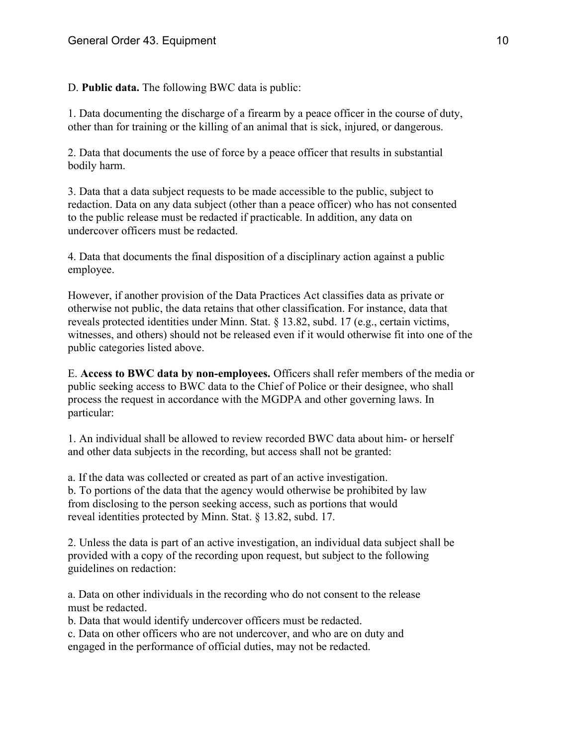D. Public data. The following BWC data is public:

1. Data documenting the discharge of a firearm by a peace officer in the course of duty, other than for training or the killing of an animal that is sick, injured, or dangerous.

2. Data that documents the use of force by a peace officer that results in substantial bodily harm.

3. Data that a data subject requests to be made accessible to the public, subject to redaction. Data on any data subject (other than a peace officer) who has not consented to the public release must be redacted if practicable. In addition, any data on undercover officers must be redacted.

4. Data that documents the final disposition of a disciplinary action against a public employee.

However, if another provision of the Data Practices Act classifies data as private or otherwise not public, the data retains that other classification. For instance, data that reveals protected identities under Minn. Stat. § 13.82, subd. 17 (e.g., certain victims, witnesses, and others) should not be released even if it would otherwise fit into one of the public categories listed above.

E. Access to BWC data by non-employees. Officers shall refer members of the media or public seeking access to BWC data to the Chief of Police or their designee, who shall process the request in accordance with the MGDPA and other governing laws. In particular:

1. An individual shall be allowed to review recorded BWC data about him- or herself and other data subjects in the recording, but access shall not be granted:

a. If the data was collected or created as part of an active investigation. b. To portions of the data that the agency would otherwise be prohibited by law from disclosing to the person seeking access, such as portions that would reveal identities protected by Minn. Stat. § 13.82, subd. 17.

2. Unless the data is part of an active investigation, an individual data subject shall be provided with a copy of the recording upon request, but subject to the following guidelines on redaction:

a. Data on other individuals in the recording who do not consent to the release must be redacted.

b. Data that would identify undercover officers must be redacted.

c. Data on other officers who are not undercover, and who are on duty and engaged in the performance of official duties, may not be redacted.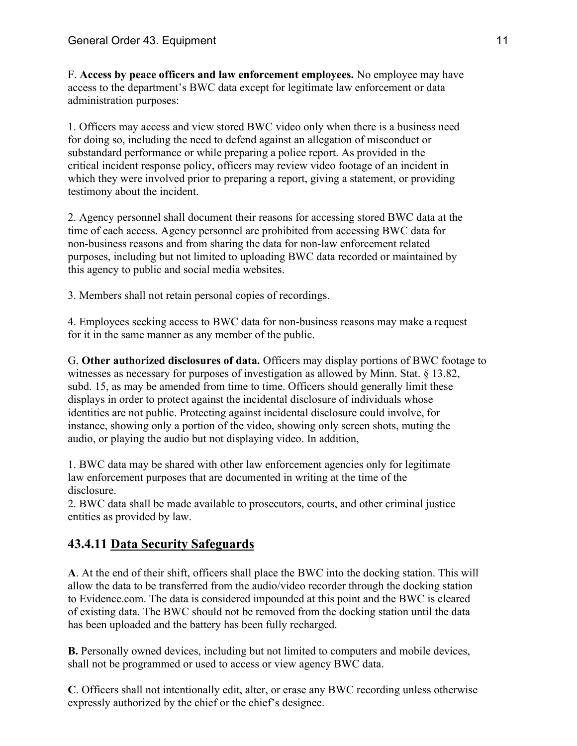F. Access by peace officers and law enforcement employees. No employee may have access to the department's BWC data except for legitimate law enforcement or data administration purposes:

1. Officers may access and view stored BWC video only when there is a business need for doing so, including the need to defend against an allegation of misconduct or substandard performance or while preparing a police report. As provided in the critical incident response policy, officers may review video footage of an incident in which they were involved prior to preparing a report, giving a statement, or providing testimony about the incident.

2. Agency personnel shall document their reasons for accessing stored BWC data at the time of each access. Agency personnel are prohibited from accessing BWC data for non-business reasons and from sharing the data for non-law enforcement related purposes, including but not limited to uploading BWC data recorded or maintained by this agency to public and social media websites.

3. Members shall not retain personal copies of recordings.

4. Employees seeking access to BWC data for non-business reasons may make a request for it in the same manner as any member of the public.

G. Other authorized disclosures of data. Officers may display portions of BWC footage to witnesses as necessary for purposes of investigation as allowed by Minn. Stat. § 13.82, subd. 15, as may be amended from time to time. Officers should generally limit these displays in order to protect against the incidental disclosure of individuals whose identities are not public. Protecting against incidental disclosure could involve, for instance, showing only a portion of the video, showing only screen shots, muting the audio, or playing the audio but not displaying video. In addition,

1. BWC data may be shared with other law enforcement agencies only for legitimate law enforcement purposes that are documented in writing at the time of the disclosure.

2. BWC data shall be made available to prosecutors, courts, and other criminal justice entities as provided by law.

# 43.4.11 Data Security Safeguards

A. At the end of their shift, officers shall place the BWC into the docking station. This will allow the data to be transferred from the audio/video recorder through the docking station to Evidence.com. The data is considered impounded at this point and the BWC is cleared of existing data. The BWC should not be removed from the docking station until the data has been uploaded and the battery has been fully recharged.

B. Personally owned devices, including but not limited to computers and mobile devices, shall not be programmed or used to access or view agency BWC data.

C. Officers shall not intentionally edit, alter, or erase any BWC recording unless otherwise expressly authorized by the chief or the chief's designee.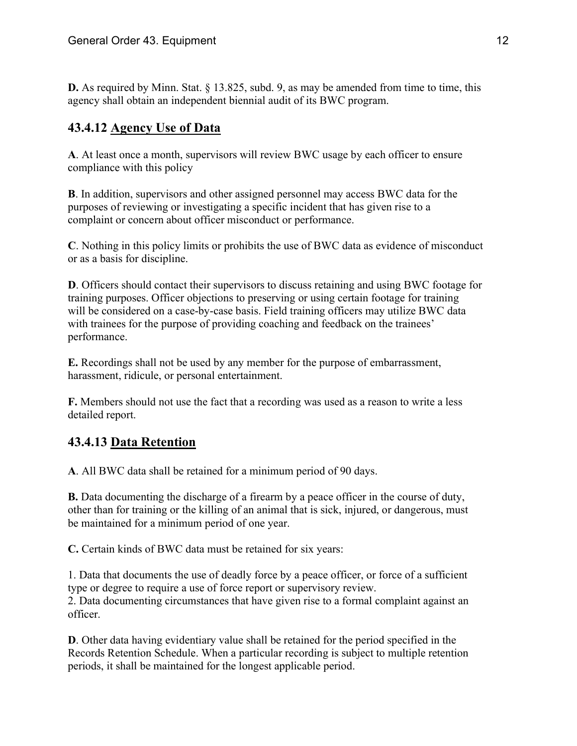D. As required by Minn. Stat. § 13.825, subd. 9, as may be amended from time to time, this agency shall obtain an independent biennial audit of its BWC program.

# 43.4.12 Agency Use of Data

A. At least once a month, supervisors will review BWC usage by each officer to ensure compliance with this policy

B. In addition, supervisors and other assigned personnel may access BWC data for the purposes of reviewing or investigating a specific incident that has given rise to a complaint or concern about officer misconduct or performance.

C. Nothing in this policy limits or prohibits the use of BWC data as evidence of misconduct or as a basis for discipline.

D. Officers should contact their supervisors to discuss retaining and using BWC footage for training purposes. Officer objections to preserving or using certain footage for training will be considered on a case-by-case basis. Field training officers may utilize BWC data with trainees for the purpose of providing coaching and feedback on the trainees' performance.

E. Recordings shall not be used by any member for the purpose of embarrassment, harassment, ridicule, or personal entertainment.

F. Members should not use the fact that a recording was used as a reason to write a less detailed report.

# 43.4.13 Data Retention

A. All BWC data shall be retained for a minimum period of 90 days.

B. Data documenting the discharge of a firearm by a peace officer in the course of duty, other than for training or the killing of an animal that is sick, injured, or dangerous, must be maintained for a minimum period of one year.

C. Certain kinds of BWC data must be retained for six years:

1. Data that documents the use of deadly force by a peace officer, or force of a sufficient type or degree to require a use of force report or supervisory review. 2. Data documenting circumstances that have given rise to a formal complaint against an officer.

D. Other data having evidentiary value shall be retained for the period specified in the Records Retention Schedule. When a particular recording is subject to multiple retention periods, it shall be maintained for the longest applicable period.